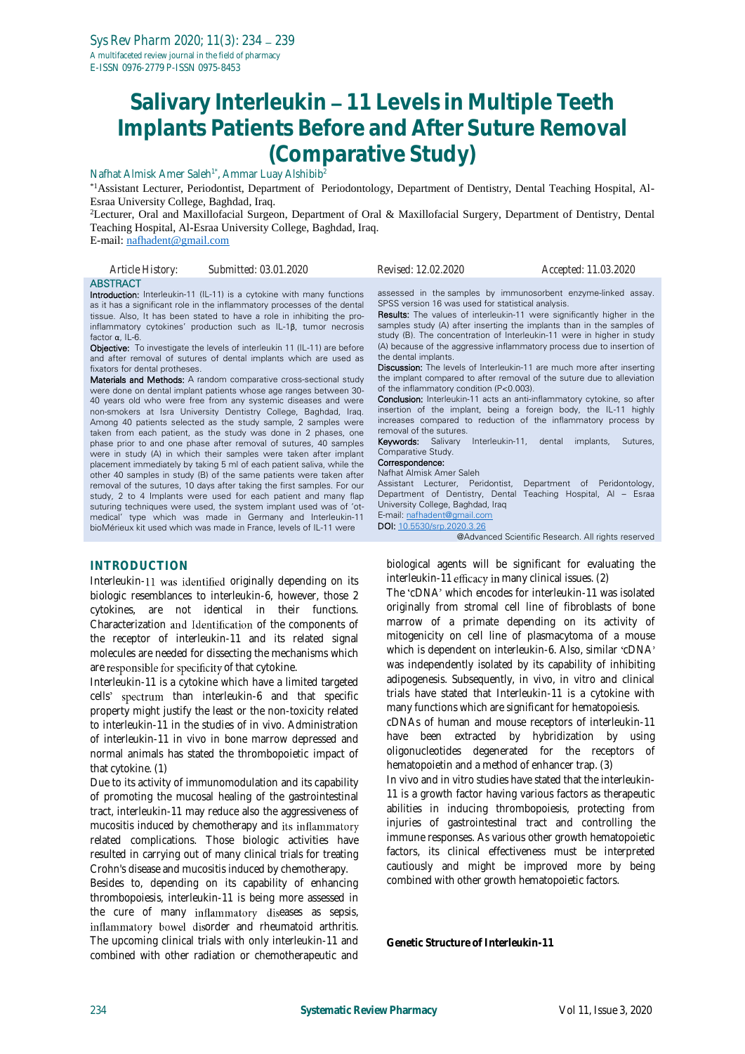# **Salivary Interleukin 11 Levels in Multiple Teeth Implants Patients Before and After Suture Removal (Comparative Study)**

Nafhat Almisk Amer Saleh<sup>1\*</sup>, Ammar Luay Alshibib<sup>2</sup>

\*1Assistant Lecturer, Periodontist, Department of Periodontology, Department of Dentistry, Dental Teaching Hospital, Al-Esraa University College, Baghdad, Iraq.

<sup>2</sup>Lecturer, Oral and Maxillofacial Surgeon, Department of Oral & Maxillofacial Surgery, Department of Dentistry, Dental Teaching Hospital, Al-Esraa University College, Baghdad, Iraq. E-mail: [nafhadent@gmail.com](mailto:nafhadent@gmail.com)

E-mail: [nafhadent@gmail.com](mailto:nafhadent@gmail.com) DOI[: 10.5530/srp.2020.3.26](http://dx.doi.org/10.5530/srp.2019.2.04)

#### **INTRODUCTION**

Interleukin-11 was identified originally depending on its biologic resemblances to interleukin-6, however, those 2 cytokines, are not identical in their functions. Characterization and Identification of the components of the receptor of interleukin-11 and its related signal molecules are needed for dissecting the mechanisms which are responsible for specificity of that cytokine.

suturing techniques were used, the system implant used was of 'otmedical' type which was made in Germany and Interleukin-11 bioMérieux kit used which was made in France, levels of IL-11 were

Interleukin-11 is a cytokine which have a limited targeted cells' spectrum than interleukin-6 and that specific property might justify the least or the non-toxicity related to interleukin-11 in the studies of in vivo. Administration of interleukin-11 in vivo in bone marrow depressed and normal animals has stated the thrombopoietic impact of that cytokine. (1)

Due to its activity of immunomodulation and its capability of promoting the mucosal healing of the gastrointestinal tract, interleukin-11 may reduce also the aggressiveness of mucositis induced by chemotherapy and its inflammatory related complications. Those biologic activities have resulted in carrying out of many clinical trials for treating Crohn's disease and mucositis induced by chemotherapy.

Besides to, depending on its capability of enhancing thrombopoiesis, interleukin-11 is being more assessed in the cure of many inflammatory diseases as sepsis, inflammatory bowel disorder and rheumatoid arthritis. The upcoming clinical trials with only interleukin-11 and combined with other radiation or chemotherapeutic and biological agents will be significant for evaluating the interleukin-11 efficacy in many clinical issues. (2)

@Advanced Scientific Research. All rights reserved

The 'cDNA' which encodes for interleukin-11 was isolated originally from stromal cell line of fibroblasts of bone marrow of a primate depending on its activity of mitogenicity on cell line of plasmacytoma of a mouse which is dependent on interleukin-6. Also, similar 'cDNA' was independently isolated by its capability of inhibiting adipogenesis. Subsequently, in vivo, in vitro and clinical trials have stated that Interleukin-11 is a cytokine with many functions which are significant for hematopoiesis.

cDNAs of human and mouse receptors of interleukin-11 have been extracted by hybridization by using oligonucleotides degenerated for the receptors of hematopoietin and a method of enhancer trap. (3)

In vivo and in vitro studies have stated that the interleukin-11 is a growth factor having various factors as therapeutic abilities in inducing thrombopoiesis, protecting from injuries of gastrointestinal tract and controlling the immune responses. As various other growth hematopoietic factors, its clinical effectiveness must be interpreted cautiously and might be improved more by being combined with other growth hematopoietic factors.

**Genetic Structure of Interleukin-11**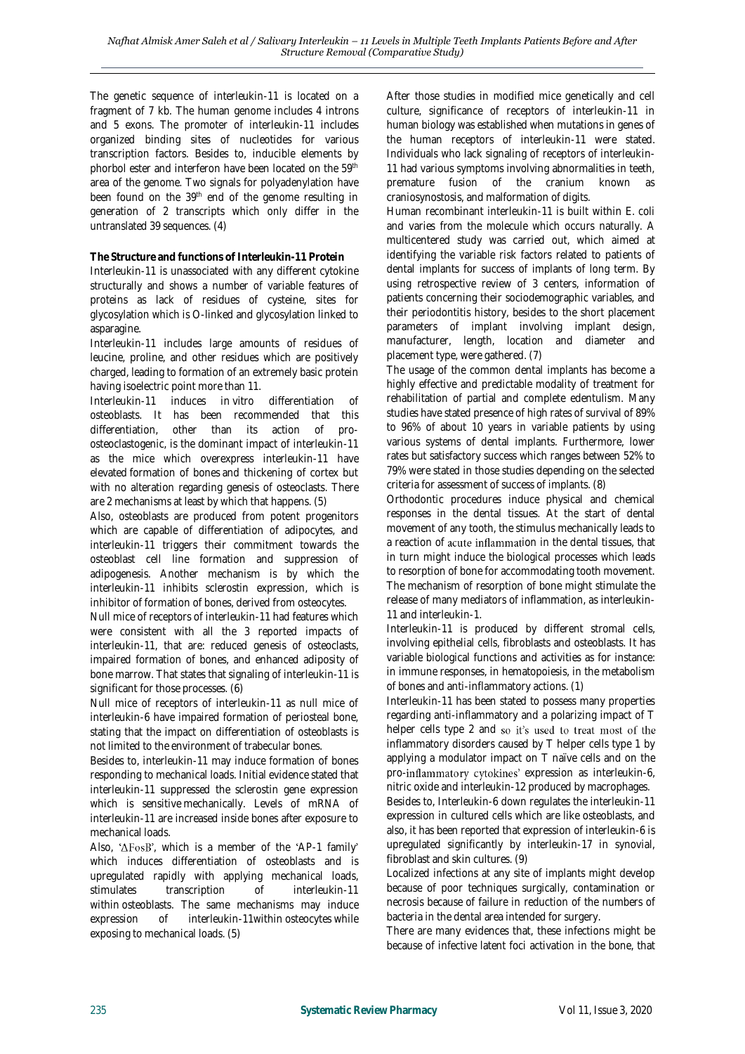The genetic sequence of interleukin-11 is located on a fragment of 7 kb. The human genome includes 4 introns and 5 exons. The promoter of interleukin-11 includes organized binding sites of nucleotides for various transcription factors. Besides to, inducible elements by phorbol ester and interferon have been located on the 59<sup>th</sup> area of the genome. Two signals for polyadenylation have been found on the 39<sup>th</sup> end of the genome resulting in generation of 2 transcripts which only differ in the untranslated 39 sequences. (4)

**The Structure and functions of Interleukin-11 Protein**

Interleukin-11 is unassociated with any different cytokine structurally and shows a number of variable features of proteins as lack of residues of cysteine, sites for glycosylation which is O-linked and glycosylation linked to asparagine.

Interleukin-11 includes large amounts of residues of leucine, proline, and other residues which are positively charged, leading to formation of an extremely basic protein having isoelectric point more than 11.

Interleukin-11 induces in vitro differentiation of osteoblasts. It has been recommended that this differentiation, other than its action of prodifferentiation, other than its action of osteoclastogenic, is the dominant impact of interleukin-11 as the mice which overexpress interleukin-11 have elevated formation of [bones](https://www.sciencedirect.com/topics/biochemistry-genetics-and-molecular-biology/ossification) and thickening of cortex but with no alteration regarding genesis of osteoclasts. There are 2 mechanisms at least by which that happens. (5)

Also, osteoblasts are produced from potent progenitors which are capable of differentiation of adipocytes, and interleukin-11 triggers their commitment towards the osteoblast cell line formation and suppression of [adipogenesis.](https://www.sciencedirect.com/topics/biochemistry-genetics-and-molecular-biology/adipogenesis) Another mechanism is by which the interleukin-11 inhibits [sclerostin](https://www.sciencedirect.com/topics/biochemistry-genetics-and-molecular-biology/sclerostin) expression, which is inhibitor of formation of bones, derived from osteocytes.

[Null mice](https://www.sciencedirect.com/topics/biochemistry-genetics-and-molecular-biology/knockout-mouse) of receptors of interleukin-11 had features which were consistent with all the 3 reported impacts of interleukin-11, that are: reduced genesis of osteoclasts, impaired formation of bones, and enhanced adiposity of bone marrow. That states that signaling of interleukin-11 is significant for those processes. (6)

[Null mice](https://www.sciencedirect.com/topics/biochemistry-genetics-and-molecular-biology/knockout-mouse) of receptors of interleukin-11 as null mice of interleukin-6 have impaired formation of periosteal bone, stating that the impact on differentiation of osteoblasts is not limited to the environment of trabecular bones.

Besides to, interleukin-11 may induce formation of bones responding to mechanical loads. Initial evidence stated that interleukin-11 suppressed the sclerostin gene expression which is sensitive mechanically. Levels of mRNA of interleukin-11 are increased inside bones after exposure to mechanical loads.

Also, 'AFosB', which is a member of the 'AP-1 family' which induces differentiation of osteoblasts and is upregulated rapidly with applying mechanical loads, stimulates transcription of interleukin-11 within [osteoblasts.](https://www.sciencedirect.com/topics/biochemistry-genetics-and-molecular-biology/osteoblast) The same mechanisms may induce expression of interleukin-11within [osteocytes](https://www.sciencedirect.com/topics/biochemistry-genetics-and-molecular-biology/osteocyte) while exposing to mechanical loads. (5)

After those studies in modified mice genetically and cell culture, significance of receptors of interleukin-11 in human biology was established when mutations in genes of the human receptors of interleukin-11 were stated. Individuals who lack signaling of receptors of interleukin-11 had various symptoms involving abnormalities in teeth, premature fusion of the cranium known craniosynostosis, and malformation of digits.

Human recombinant interleukin-11 is built within E. coli and varies from the molecule which occurs naturally. A multicentered study was carried out, which aimed at identifying the variable risk factors related to patients of dental implants for success of implants of long term. By using retrospective review of 3 centers, information of patients concerning their sociodemographic variables, and their periodontitis history, besides to the short placement parameters of implant involving implant design, manufacturer, length, location and diameter and placement type, were gathered. (7)

The usage of the common dental implants has become a highly effective and predictable modality of treatment for rehabilitation of partial and complete edentulism. Many studies have stated presence of high rates of survival of 89% to 96% of about 10 years in variable patients by using various systems of dental implants. Furthermore, lower rates but satisfactory success which ranges between 52% to 79% were stated in those studies depending on the selected criteria for assessment of success of implants. (8)

Orthodontic procedures induce physical and chemical responses in the dental tissues. At the start of dental movement of any tooth, the stimulus mechanically leads to a reaction of acute inflammation in the dental tissues, that in turn might induce the biological processes which leads to resorption of bone for accommodating tooth movement. The mechanism of resorption of bone might stimulate the release of many mediators of inflammation, as interleukin-11 and interleukin-1.

Interleukin-11 is produced by different stromal cells, involving epithelial cells, fibroblasts and osteoblasts. It has variable biological functions and activities as for instance: in immune responses, in hematopoiesis, in the metabolism of bones and anti-inflammatory actions. (1)

Interleukin-11 has been stated to possess many properties regarding anti-inflammatory and a polarizing impact of T helper cells type 2 and so it's used to treat most of the inflammatory disorders caused by T helper cells type 1 by applying a modulator impact on T naïve cells and on the pro-inflammatory cytokines' expression as interleukin-6, nitric oxide and interleukin-12 produced by macrophages.

Besides to, Interleukin-6 down regulates the interleukin-11 expression in cultured cells which are like osteoblasts, and also, it has been reported that expression of interleukin-6 is upregulated significantly by interleukin-17 in synovial, fibroblast and skin cultures. (9)

Localized infections at any site of implants might develop because of poor techniques surgically, contamination or necrosis because of failure in reduction of the numbers of bacteria in the dental area intended for surgery.

There are many evidences that, these infections might be because of infective latent foci activation in the bone, that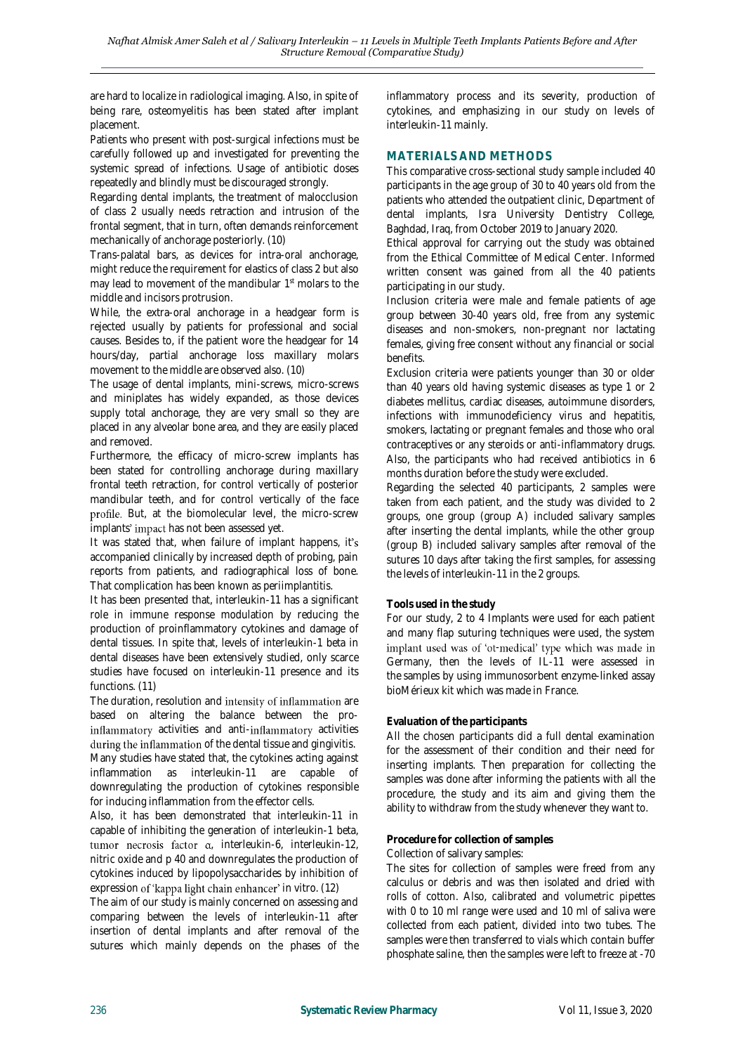are hard to localize in radiological imaging. Also, in spite of being rare, osteomyelitis has been stated after implant placement.

Patients who present with post-surgical infections must be carefully followed up and investigated for preventing the systemic spread of infections. Usage of antibiotic doses repeatedly and blindly must be discouraged strongly.

Regarding dental implants, the treatment of malocclusion of class 2 usually needs retraction and intrusion of the frontal segment, that in turn, often demands reinforcement mechanically of anchorage posteriorly. (10)

Trans-palatal bars, as devices for intra-oral anchorage, might reduce the requirement for elastics of class 2 but also may lead to movement of the mandibular 1<sup>st</sup> molars to the middle and incisors protrusion.

While, the extra-oral anchorage in a headgear form is rejected usually by patients for professional and social causes. Besides to, if the patient wore the headgear for 14 hours/day, partial anchorage loss maxillary molars movement to the middle are observed also. (10)

The usage of dental implants, mini-screws, micro-screws and miniplates has widely expanded, as those devices supply total anchorage, they are very small so they are placed in any alveolar bone area, and they are easily placed and removed.

Furthermore, the efficacy of micro-screw implants has been stated for controlling anchorage during maxillary frontal teeth retraction, for control vertically of posterior mandibular teeth, and for control vertically of the face profile. But, at the biomolecular level, the micro-screw implants' impact has not been assessed yet.

It was stated that, when failure of implant happens, it's accompanied clinically by increased depth of probing, pain reports from patients, and radiographical loss of bone. That complication has been known as periimplantitis.

It has been presented that, interleukin-11 has a significant role in immune response modulation by reducing the production of proinflammatory cytokines and damage of dental tissues. In spite that, levels of interleukin-1 beta in dental diseases have been extensively studied, only scarce studies have focused on interleukin-11 presence and its functions. (11)

The duration, resolution and intensity of inflammation are based on altering the balance between the proinflammatory activities and anti-inflammatory activities during the inflammation of the dental tissue and gingivitis. Many studies have stated that, the cytokines acting against inflammation as interleukin-11 are capable of downregulating the production of cytokines responsible for inducing inflammation from the effector cells.

Also, it has been demonstrated that interleukin-11 in capable of inhibiting the generation of interleukin-1 beta, tumor necrosis factor  $\alpha$ , interleukin-6, interleukin-12, nitric oxide and p 40 and downregulates the production of cytokines induced by lipopolysaccharides by inhibition of expression of 'kappa light chain enhancer' in vitro. (12)

The aim of our study is mainly concerned on assessing and comparing between the levels of interleukin-11 after insertion of dental implants and after removal of the sutures which mainly depends on the phases of the

inflammatory process and its severity, production of cytokines, and emphasizing in our study on levels of interleukin-11 mainly.

## **MATERIALS AND METHODS**

This comparative cross-sectional study sample included 40 participants in the age group of 30 to 40 years old from the patients who attended the outpatient clinic, Department of dental implants, Isra University Dentistry College, Baghdad, Iraq, from October 2019 to January 2020.

Ethical approval for carrying out the study was obtained from the Ethical Committee of Medical Center. Informed written consent was gained from all the 40 patients participating in our study.

Inclusion criteria were male and female patients of age group between 30-40 years old, free from any systemic diseases and non-smokers, non-pregnant nor lactating females, giving free consent without any financial or social benefits.

Exclusion criteria were patients younger than 30 or older than 40 years old having systemic diseases as type 1 or 2 diabetes mellitus, cardiac diseases, autoimmune disorders, infections with immunodeficiency virus and hepatitis, smokers, lactating or pregnant females and those who oral contraceptives or any steroids or anti-inflammatory drugs. Also, the participants who had received antibiotics in 6 months duration before the study were excluded.

Regarding the selected 40 participants, 2 samples were taken from each patient, and the study was divided to 2 groups, one group (group A) included salivary samples after inserting the dental implants, while the other group (group B) included salivary samples after removal of the sutures 10 days after taking the first samples, for assessing the levels of interleukin-11 in the 2 groups.

## **Tools used in the study**

For our study, 2 to 4 Implants were used for each patient and many flap suturing techniques were used, the system implant used was of 'ot-medical' type which was made in Germany, then the levels of IL-11 were assessed in the samples by using immunosorbent enzyme-linked assay bioMérieux kit which was made in France.

#### **Evaluation of the participants**

All the chosen participants did a full dental examination for the assessment of their condition and their need for inserting implants. Then preparation for collecting the samples was done after informing the patients with all the procedure, the study and its aim and giving them the ability to withdraw from the study whenever they want to.

## **Procedure for collection of samples**

Collection of salivary samples:

The sites for collection of samples were freed from any calculus or debris and was then isolated and dried with rolls of cotton. Also, calibrated and volumetric pipettes with 0 to 10 ml range were used and 10 ml of saliva were collected from each patient, divided into two tubes. The samples were then transferred to vials which contain buffer phosphate saline, then the samples were left to freeze at -70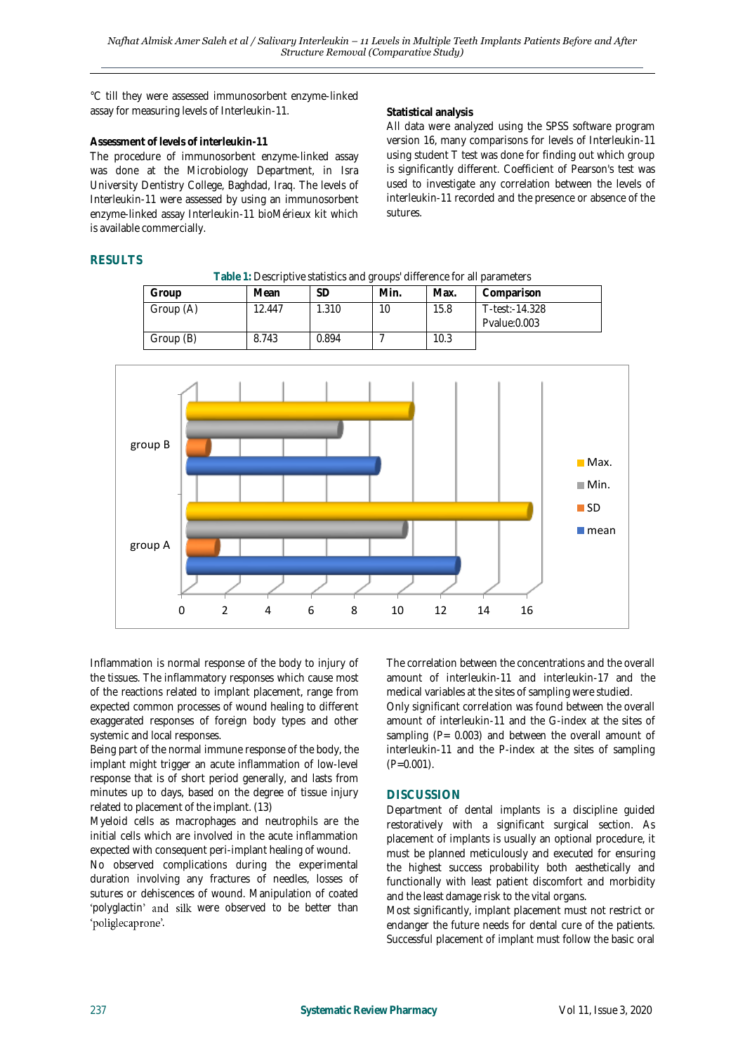°C till they were assessed immunosorbent enzyme-linked assay for measuring levels of Interleukin-11.

#### **Assessment of levels of interleukin-11**

The procedure of immunosorbent enzyme-linked assay was done at the Microbiology Department, in Isra University Dentistry College, Baghdad, Iraq. The levels of Interleukin-11 were assessed by using an immunosorbent enzyme-linked assay Interleukin-11 bioMérieux kit which is available commercially.

#### **Statistical analysis**

All data were analyzed using the SPSS software program version 16, many comparisons for levels of Interleukin-11 using student T test was done for finding out which group is significantly different. Coefficient of Pearson's test was used to investigate any correlation between the levels of interleukin-11 recorded and the presence or absence of the sutures.

## **RESULTS**

| Table 1: Descriptive statistics and groups' difference for all parameters. |        |                     |      |      |                                 |
|----------------------------------------------------------------------------|--------|---------------------|------|------|---------------------------------|
| Group                                                                      | Mean   |                     | Min. | Max. | Comparison                      |
| Group (A)                                                                  | 12.447 | $\frac{1.310}{5.5}$ | 10   | 15.8 | T-test:-14.328<br>Pvalue: 0.003 |
| Group (B)                                                                  | 8.743  | 0.894               |      | 10.3 |                                 |



Inflammation is normal response of the body to injury of the tissues. The inflammatory responses which cause most of the reactions related to implant placement, range from expected common processes of wound healing to different exaggerated responses of foreign body types and other systemic and local responses.

Being part of the normal immune response of the body, the implant might trigger an acute inflammation of low-level response that is of short period generally, and lasts from minutes up to days, based on the degree of tissue injury related to placement of the implant. (13)

Myeloid cells as macrophages and neutrophils are the initial cells which are involved in the acute inflammation expected with consequent peri-implant healing of wound.

No observed complications during the experimental duration involving any fractures of needles, losses of sutures or dehiscences of wound. Manipulation of coated 'polyglactin' and silk were observed to be better than 'poliglecaprone'.

The correlation between the concentrations and the overall amount of interleukin-11 and interleukin-17 and the medical variables at the sites of sampling were studied. Only significant correlation was found between the overall amount of interleukin-11 and the G-index at the sites of

sampling  $(P= 0.003)$  and between the overall amount of interleukin-11 and the P-index at the sites of sampling  $(P=0.001)$ .

## **DISCUSSION**

Department of dental implants is a discipline guided restoratively with a significant surgical section. As placement of implants is usually an optional procedure, it must be planned meticulously and executed for ensuring the highest success probability both aesthetically and functionally with least patient discomfort and morbidity and the least damage risk to the vital organs.

Most significantly, implant placement must not restrict or endanger the future needs for dental cure of the patients. Successful placement of implant must follow the basic oral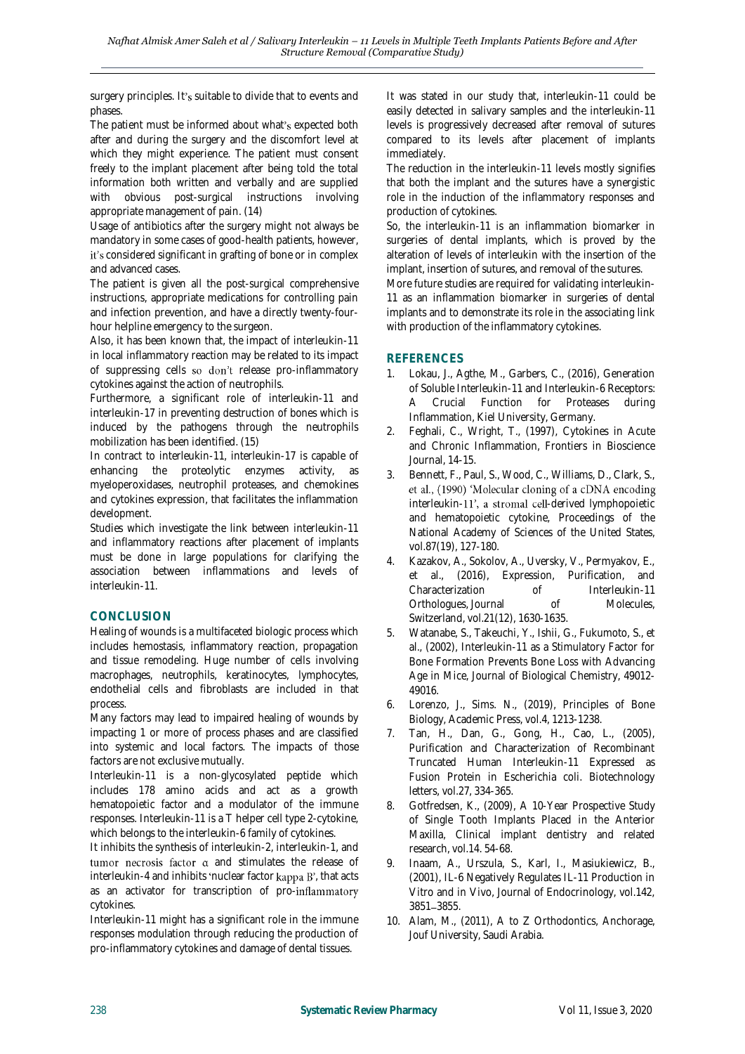surgery principles. It's suitable to divide that to events and phases.

The patient must be informed about what's expected both after and during the surgery and the discomfort level at which they might experience. The patient must consent freely to the implant placement after being told the total information both written and verbally and are supplied with obvious post-surgical instructions involving appropriate management of pain. (14)

Usage of antibiotics after the surgery might not always be mandatory in some cases of good-health patients, however, it's considered significant in grafting of bone or in complex and advanced cases.

The patient is given all the post-surgical comprehensive instructions, appropriate medications for controlling pain and infection prevention, and have a directly twenty-fourhour helpline emergency to the surgeon.

Also, it has been known that, the impact of interleukin-11 in local inflammatory reaction may be related to its impact of suppressing cells so don't release pro-inflammatory cytokines against the action of neutrophils.

Furthermore, a significant role of interleukin-11 and interleukin-17 in preventing destruction of bones which is induced by the pathogens through the neutrophils mobilization has been identified. (15)

In contract to interleukin-11, interleukin-17 is capable of enhancing the proteolytic enzymes activity, as myeloperoxidases, neutrophil proteases, and chemokines and cytokines expression, that facilitates the inflammation development.

Studies which investigate the link between interleukin-11 and inflammatory reactions after placement of implants must be done in large populations for clarifying the association between inflammations and levels of interleukin-11.

## **CONCLUSION**

Healing of wounds is a multifaceted biologic process which includes hemostasis, inflammatory reaction, propagation and tissue remodeling. Huge number of cells involving macrophages, neutrophils, keratinocytes, lymphocytes, endothelial cells and fibroblasts are included in that process.

Many factors may lead to impaired healing of wounds by impacting 1 or more of process phases and are classified into systemic and local factors. The impacts of those factors are not exclusive mutually.

Interleukin-11 is a non-glycosylated peptide which includes 178 amino acids and act as a growth hematopoietic factor and a modulator of the immune responses. Interleukin-11 is a T helper cell type 2-cytokine, which belongs to the interleukin-6 family of cytokines.

It inhibits the synthesis of interleukin-2, interleukin-1, and tumor necrosis factor  $\alpha$  and stimulates the release of interleukin-4 and inhibits 'nuclear factor kappa B', that acts as an activator for transcription of pro-inflammatory cytokines.

Interleukin-11 might has a significant role in the immune responses modulation through reducing the production of pro-inflammatory cytokines and damage of dental tissues.

It was stated in our study that, interleukin-11 could be easily detected in salivary samples and the interleukin-11 levels is progressively decreased after removal of sutures compared to its levels after placement of implants immediately.

The reduction in the interleukin-11 levels mostly signifies that both the implant and the sutures have a synergistic role in the induction of the inflammatory responses and production of cytokines.

So, the interleukin-11 is an inflammation biomarker in surgeries of dental implants, which is proved by the alteration of levels of interleukin with the insertion of the implant, insertion of sutures, and removal of the sutures.

More future studies are required for validating interleukin-11 as an inflammation biomarker in surgeries of dental implants and to demonstrate its role in the associating link with production of the inflammatory cytokines.

## **REFERENCES**

- 1. Lokau, J., Agthe, M., Garbers, C., (2016), Generation of Soluble Interleukin-11 and Interleukin-6 Receptors: A Crucial Function for Proteases during Inflammation, Kiel University, Germany.
- 2. Feghali, C., Wright, T., (1997), Cytokines in Acute and Chronic Inflammation, Frontiers in Bioscience Journal, 14-15.
- 3. Bennett, F., Paul, S., Wood, C., Williams, D., Clark, S., et al., (1990) 'Molecular cloning of a cDNA encoding interleukin-11', a stromal cell-derived lymphopoietic and hematopoietic cytokine, Proceedings of the National Academy of Sciences of the United States, vol.87(19), 127-180.
- 4. Kazakov, A., Sokolov, A., Uversky, V., Permyakov, E., et al., (2016), Expression, Purification, and Characterization of Interleukin-11 Orthologues, Journal of Molecules, Switzerland, vol.21(12), 1630-1635.
- 5. Watanabe, S., Takeuchi, Y., Ishii, G., Fukumoto, S., et al., (2002), Interleukin-11 as a Stimulatory Factor for Bone Formation Prevents Bone Loss with Advancing Age in Mice, Journal of Biological Chemistry, 49012- 49016.
- 6. Lorenzo, J., Sims. N., (2019), Principles of Bone Biology, Academic Press, vol.4, 1213-1238.
- 7. Tan, H., Dan, G., Gong, H., Cao, L., (2005), Purification and Characterization of Recombinant Truncated Human Interleukin-11 Expressed as Fusion Protein in Escherichia coli. Biotechnology letters, vol.27, 334-365.
- 8. Gotfredsen, K., (2009), A 10-Year Prospective Study of Single Tooth Implants Placed in the Anterior Maxilla, Clinical implant dentistry and related research, vol.14. 54-68.
- Inaam, A., Urszula, S., Karl, I., Masiukiewicz, B., (2001), IL-6 Negatively Regulates IL-11 Production in Vitro and in Vivo, Journal of Endocrinology, vol.142, 3851 3855.
- 10. Alam, M., (2011), A to Z Orthodontics, Anchorage, Jouf University, Saudi Arabia.